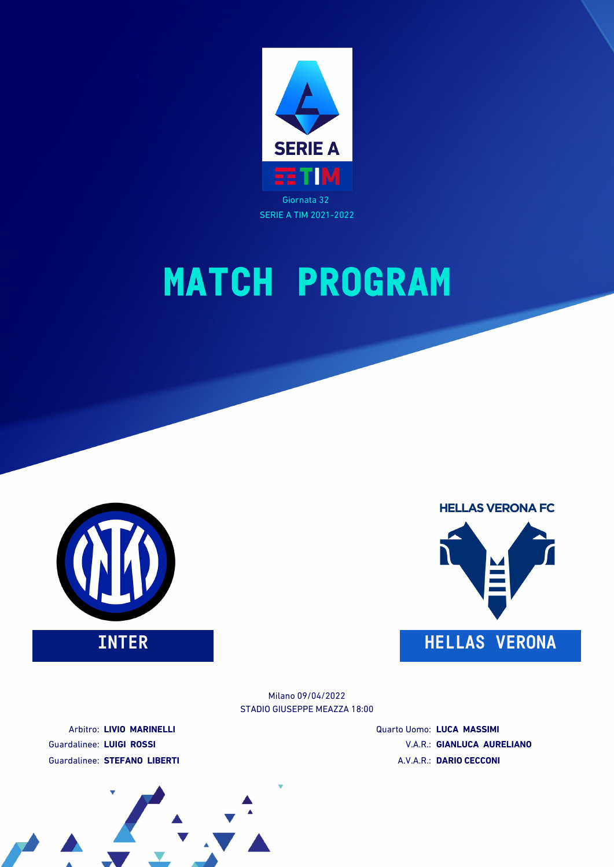





STADIO GIUSEPPE MEAZZA 18:00 Milano 09/04/2022

Arbitro: **LIVIO MARINELLI** Guardalinee: **LUIGI ROSSI** Guardalinee: **STEFANO LIBERTI** Quarto Uomo: **LUCA MASSIMI** V.A.R.: **GIANLUCA AURELIANO** A.V.A.R.: **DARIO CECCONI**

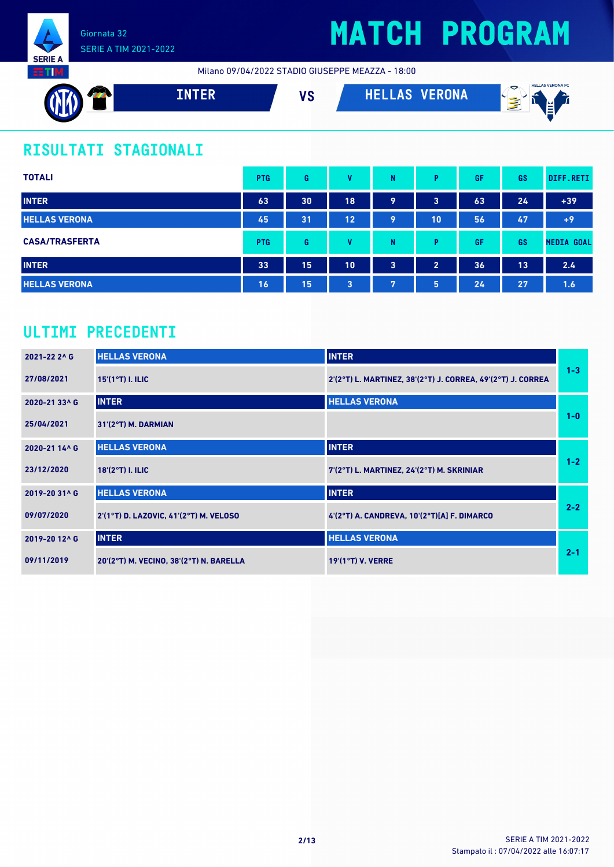

Milano 09/04/2022 STADIO GIUSEPPE MEAZZA - 18:00



### **RISULTATI STAGIONALI**

| <b>TOTALI</b>         | <b>PTG</b> | G  | v  | N | P              | GF | <b>GS</b> | DIFF.RETI         |
|-----------------------|------------|----|----|---|----------------|----|-----------|-------------------|
| <b>INTER</b>          | 63         | 30 | 18 | 9 | 3              | 63 | 24        | $+39$             |
| <b>HELLAS VERONA</b>  | 45         | 31 | 12 | 9 | 10             | 56 | 47        | $+9$              |
| <b>CASA/TRASFERTA</b> | <b>PTG</b> | G  | v  | N | P              | GF | GS        | <b>MEDIA GOAL</b> |
| <b>INTER</b>          | 33         | 15 | 10 | 3 | $\overline{2}$ | 36 | 13        | 2.4               |
| <b>HELLAS VERONA</b>  | 16         | 15 | 3  | 7 | 5              | 24 | 27        | 1.6               |

### **ULTIMI PRECEDENTI**

| 2021-22 2^ G  | <b>HELLAS VERONA</b>                    | <b>INTER</b>                                                |         |
|---------------|-----------------------------------------|-------------------------------------------------------------|---------|
| 27/08/2021    | $15'(1°T)$ I. ILIC                      | 2'(2°T) L. MARTINEZ, 38'(2°T) J. CORREA, 49'(2°T) J. CORREA | $1 - 3$ |
| 2020-21 33^6  | <b>INTER</b>                            | <b>HELLAS VERONA</b>                                        |         |
| 25/04/2021    | 31'(2°T) M. DARMIAN                     |                                                             | $1-0$   |
| 2020-21 14^ G | <b>HELLAS VERONA</b>                    | <b>INTER</b>                                                |         |
| 23/12/2020    | 18'(2°T) I. ILIC                        | 7'(2°T) L. MARTINEZ, 24'(2°T) M. SKRINIAR                   | $1 - 2$ |
| 2019-20 31^ G | <b>HELLAS VERONA</b>                    | <b>INTER</b>                                                |         |
| 09/07/2020    | 2'(1°T) D. LAZOVIC, 41'(2°T) M. VELOSO  | $4'(2°T)$ A. CANDREVA, $10'(2°T)[A]$ F. DIMARCO             | $2 - 2$ |
| 2019-20 12^ G | <b>INTER</b>                            | <b>HELLAS VERONA</b>                                        |         |
| 09/11/2019    | 20'(2°T) M. VECINO, 38'(2°T) N. BARELLA | $19'(1°T)$ V. VERRE                                         | $2 - 1$ |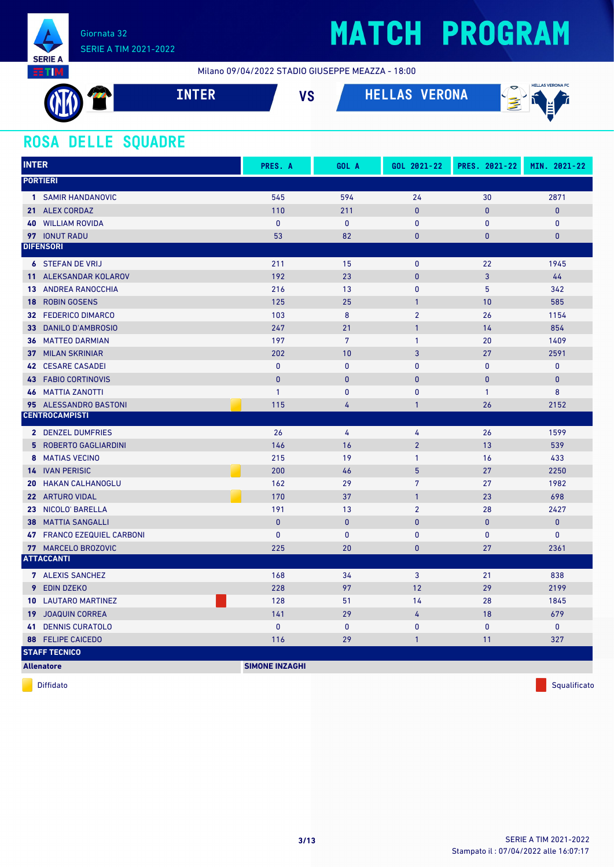

Milano 09/04/2022 STADIO GIUSEPPE MEAZZA - 18:00

| A PA | VC<br>ט <i>ו</i> | <b>VERONA</b><br>T | <b>HELLAS VERONA FC</b><br>$\mathcal{D}$<br>اعد<br>$\sim$<br>. .<br>$\overline{\phantom{a}}$ |
|------|------------------|--------------------|----------------------------------------------------------------------------------------------|
|      |                  |                    |                                                                                              |

### **ROSA DELLE SQUADRE**

| <b>INTER</b>                                | PRES. A               | GOL A           | GOL 2021-22     | PRES. 2021-22 | MIN. 2021-22 |
|---------------------------------------------|-----------------------|-----------------|-----------------|---------------|--------------|
| <b>PORTIERI</b>                             |                       |                 |                 |               |              |
| 1 SAMIR HANDANOVIC                          | 545                   | 594             | 24              | 30            | 2871         |
| 21 ALEX CORDAZ                              | 110                   | 211             | $\mathbf{0}$    | $\mathbf{0}$  | $\bf{0}$     |
| <b>WILLIAM ROVIDA</b><br>40                 | $\mathbf{0}$          | $\mathbf{0}$    | $\mathbf{0}$    | $\mathbf{0}$  | $\mathbf 0$  |
| 97 IONUT RADU                               | 53                    | 82              | $\mathbf{0}$    | $\mathbf{0}$  | $\mathbf{0}$ |
| <b>DIFENSORI</b>                            |                       |                 |                 |               |              |
| <b>6 STEFAN DE VRIJ</b>                     | 211                   | 15              | $\pmb{0}$       | 22            | 1945         |
| 11 ALEKSANDAR KOLAROV                       | 192                   | 23              | $\bf{0}$        | 3             | 44           |
| ANDREA RANOCCHIA<br>13                      | 216                   | 13              | $\mathbf{0}$    | 5             | 342          |
| <b>ROBIN GOSENS</b><br>18                   | 125                   | 25              | $\mathbf{1}$    | 10            | 585          |
| <b>32 FEDERICO DIMARCO</b>                  | 103                   | 8               | $\overline{2}$  | 26            | 1154         |
| <b>DANILO D'AMBROSIO</b><br>33 <sup>2</sup> | 247                   | 21              | $\mathbf{1}$    | 14            | 854          |
| <b>36 MATTEO DARMIAN</b>                    | 197                   | $7\overline{ }$ | $\mathbf{1}$    | 20            | 1409         |
| <b>MILAN SKRINIAR</b><br>37 <sup>2</sup>    | 202                   | 10              | 3               | 27            | 2591         |
| <b>42 CESARE CASADEI</b>                    | $\pmb{0}$             | $\pmb{0}$       | $\mathbf{0}$    | $\pmb{0}$     | $\mathbf 0$  |
| <b>43 FABIO CORTINOVIS</b>                  | $\mathbf{0}$          | $\mathbf{0}$    | $\mathbf{0}$    | $\mathbf{0}$  | $\mathbf 0$  |
| <b>46 MATTIA ZANOTTI</b>                    | $\mathbf{1}$          | 0               | $\mathbf{0}$    | $\mathbf{1}$  | 8            |
| 95 ALESSANDRO BASTONI                       | 115                   | 4               | $\mathbf{1}$    | 26            | 2152         |
| <b>CENTROCAMPISTI</b>                       |                       |                 |                 |               |              |
| 2 DENZEL DUMFRIES                           | 26                    | 4               | 4               | 26            | 1599         |
| <b>5 ROBERTO GAGLIARDINI</b>                | 146                   | 16              | $\overline{2}$  | 13            | 539          |
| 8 MATIAS VECINO                             | 215                   | 19              | $\mathbf{1}$    | 16            | 433          |
| <b>14 IVAN PERISIC</b>                      | 200                   | 46              | $5\phantom{.0}$ | 27            | 2250         |
| 20<br><b>HAKAN CALHANOGLU</b>               | 162                   | 29              | $7\overline{ }$ | 27            | 1982         |
| 22 ARTURO VIDAL                             | 170                   | 37              | $\mathbf{1}$    | 23            | 698          |
| 23 NICOLO BARELLA                           | 191                   | 13              | $\overline{2}$  | 28            | 2427         |
| <b>MATTIA SANGALLI</b><br>38                | $\mathbf{0}$          | $\pmb{0}$       | $\mathbf{0}$    | $\mathbf{0}$  | $\mathbf{0}$ |
| 47 FRANCO EZEQUIEL CARBONI                  | $\pmb{0}$             | $\pmb{0}$       | $\mathbf 0$     | $\mathbf 0$   | $\mathbf 0$  |
| 77 MARCELO BROZOVIC                         | 225                   | 20              | $\overline{0}$  | 27            | 2361         |
| <b>ATTACCANTI</b>                           |                       |                 |                 |               |              |
| 7 ALEXIS SANCHEZ                            | 168                   | 34              | 3               | 21            | 838          |
| 9<br><b>EDIN DZEKO</b>                      | 228                   | 97              | 12              | 29            | 2199         |
| <b>LAUTARO MARTINEZ</b><br>10               | 128                   | 51              | 14              | 28            | 1845         |
| <b>19 JOAQUIN CORREA</b>                    | 141                   | 29              | 4               | 18            | 679          |
| <b>DENNIS CURATOLO</b><br>41                | $\mathbf{0}$          | $\pmb{0}$       | $\mathbf{0}$    | $\mathbf{0}$  | $\mathbf 0$  |
| <b>FELIPE CAICEDO</b><br>88                 | 116                   | 29              | $\mathbf{1}$    | 11            | 327          |
| <b>STAFF TECNICO</b>                        |                       |                 |                 |               |              |
| <b>Allenatore</b>                           | <b>SIMONE INZAGHI</b> |                 |                 |               |              |

diffidato de la contradicción de la contradicción de la contradicción de la contradicción de la contradicción de Squalificato de la contradicción de la contradicción de la contradicción de la contradicción de la contradicc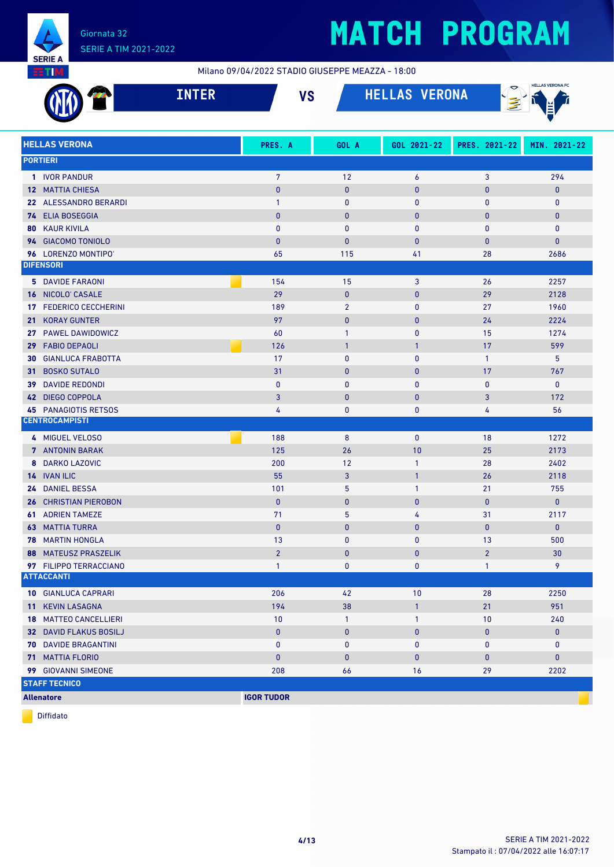

Milano 09/04/2022 STADIO GIUSEPPE MEAZZA - 18:00

|     |                                                      | <b>INTER</b> | <b>VS</b>         |                | <b>HELLAS VERONA</b>         |                | <b>HELLAS VERONA FC</b> |
|-----|------------------------------------------------------|--------------|-------------------|----------------|------------------------------|----------------|-------------------------|
|     | <b>HELLAS VERONA</b>                                 |              | PRES. A           | GOL A          | GOL 2021-22                  | PRES. 2021-22  | MIN. 2021-22            |
|     | <b>PORTIERI</b>                                      |              |                   |                |                              |                |                         |
|     | 1 IVOR PANDUR                                        |              | $\overline{7}$    | 12             | 6                            | 3              | 294                     |
|     | <b>12 MATTIA CHIESA</b>                              |              | $\mathbf{0}$      | $\mathbf{0}$   | $\mathbf 0$                  | $\pmb{0}$      | $\mathbf{0}$            |
|     | 22 ALESSANDRO BERARDI                                |              | $\mathbf{1}$      | $\bf{0}$       | 0                            | 0              | $\mathbf 0$             |
|     | 74 ELIA BOSEGGIA                                     |              | $\mathbf{0}$      | $\mathbf{0}$   | $\mathbf 0$                  | $\bf{0}$       | $\mathbf{0}$            |
| 80  | <b>KAUR KIVILA</b>                                   |              | $\mathbf{0}$      | $\mathbf{0}$   | 0                            | 0              | $\pmb{0}$               |
|     | 94 GIACOMO TONIOLO                                   |              | $\mathbf{0}$      | 0              | $\mathbf{0}$                 | $\bf{0}$       | $\mathbf 0$             |
|     | 96 LORENZO MONTIPO'                                  |              | 65                | 115            | 41                           | 28             | 2686                    |
|     | <b>DIFENSORI</b>                                     |              |                   |                |                              |                |                         |
|     | <b>5 DAVIDE FARAONI</b>                              |              | 154               | 15             | 3                            | 26             | 2257                    |
|     | 16 NICOLO' CASALE                                    |              | 29                | $\mathbf{0}$   | $\mathbf{0}$                 | 29             | 2128                    |
| 17  | <b>FEDERICO CECCHERINI</b>                           |              | 189               | $\overline{2}$ | $\mathbf{0}$                 | 27             | 1960                    |
| 21. | <b>KORAY GUNTER</b>                                  |              | 97                | $\mathbf{0}$   | $\mathbf{0}$                 | 24             | 2224                    |
| 27  | PAWEL DAWIDOWICZ                                     |              | 60                | $\overline{1}$ | $\mathbf{0}$                 | 15             | 1274                    |
| 29  | <b>FABIO DEPAOLI</b>                                 |              | 126               | $\overline{1}$ | $\mathbf{1}$                 | 17             | 599                     |
| 30  | <b>GIANLUCA FRABOTTA</b>                             |              | 17                | $\mathbf 0$    | $\mathbf 0$                  | $\mathbf{1}$   | 5                       |
| 31. | <b>BOSKO SUTALO</b>                                  |              | 31                | $\mathbf{0}$   | $\mathbf{0}$                 | 17             | 767                     |
| 39  | <b>DAVIDE REDONDI</b>                                |              | $\mathbf{0}$      | $\mathbf{0}$   | $\mathbf{0}$                 | $\mathbf{0}$   | $\mathbf 0$             |
|     | 42 DIEGO COPPOLA                                     |              | 3                 | $\mathbf{0}$   | $\mathbf 0$                  | 3              | 172                     |
|     | <b>45 PANAGIOTIS RETSOS</b><br><b>CENTROCAMPISTI</b> |              | 4                 | 0              | 0                            | 4              | 56                      |
|     |                                                      |              |                   |                |                              |                |                         |
|     | 4 MIGUEL VELOSO                                      |              | 188               | 8              | $\mathbf 0$                  | 18             | 1272                    |
|     | 7 ANTONIN BARAK                                      |              | 125               | 26             | 10                           | 25             | 2173                    |
| 8   | <b>DARKO LAZOVIC</b>                                 |              | 200               | 12             | $\mathbf{1}$                 | 28             | 2402                    |
| 24  | 14 IVAN ILIC<br><b>DANIEL BESSA</b>                  |              | 55<br>101         | 3<br>5         | $\mathbf{1}$<br>$\mathbf{1}$ | 26<br>21       | 2118<br>755             |
|     | <b>26 CHRISTIAN PIEROBON</b>                         |              | $\mathbf{0}$      | $\mathbf{0}$   | $\mathbf 0$                  | $\mathbf{0}$   | $\mathbf{0}$            |
|     | <b>61 ADRIEN TAMEZE</b>                              |              | 71                | 5              | 4                            | 31             | 2117                    |
|     | <b>63 MATTIA TURRA</b>                               |              | $\mathbf{0}$      | $\mathbf{0}$   | $\mathbf{0}$                 | $\mathbf{0}$   | $\mathbf{0}$            |
|     | 78 MARTIN HONGLA                                     |              | 13                | 0              | $\mathbf{0}$                 | 13             | 500                     |
|     | <b>88 MATEUSZ PRASZELIK</b>                          |              | $\overline{2}$    | $\mathbf{0}$   | $\mathbf 0$                  | $\overline{2}$ | 30                      |
|     | 97 FILIPPO TERRACCIANO                               |              | $\mathbf{1}$      | 0              | 0                            | $\mathbf{1}$   | 9                       |
|     | <b>ATTACCANTI</b>                                    |              |                   |                |                              |                |                         |
|     | <b>10 GIANLUCA CAPRARI</b>                           |              | 206               | 42             | 10                           | 28             | 2250                    |
|     | 11 KEVIN LASAGNA                                     |              | 194               | 38             | $\mathbf{1}$                 | 21             | 951                     |
|     | <b>18 MATTEO CANCELLIERI</b>                         |              | 10                | $\mathbf{1}$   | $\mathbf{1}$                 | 10             | 240                     |
|     | <b>32 DAVID FLAKUS BOSILJ</b>                        |              | $\pmb{0}$         | $\bf{0}$       | 0                            | 0              | $\bf{0}$                |
|     | <b>70 DAVIDE BRAGANTINI</b>                          |              | $\bf{0}$          | $\mathbf 0$    | 0                            | 0              | $\mathbf{0}$            |
|     | 71 MATTIA FLORIO                                     |              | $\pmb{0}$         | $\mathbf 0$    | 0                            | $\pmb{0}$      | $\pmb{0}$               |
|     | 99 GIOVANNI SIMEONE                                  |              | 208               | 66             | 16                           | 29             | 2202                    |
|     | <b>STAFF TECNICO</b>                                 |              |                   |                |                              |                |                         |
|     | <b>Allenatore</b>                                    |              | <b>IGOR TUDOR</b> |                |                              |                |                         |

Diffidato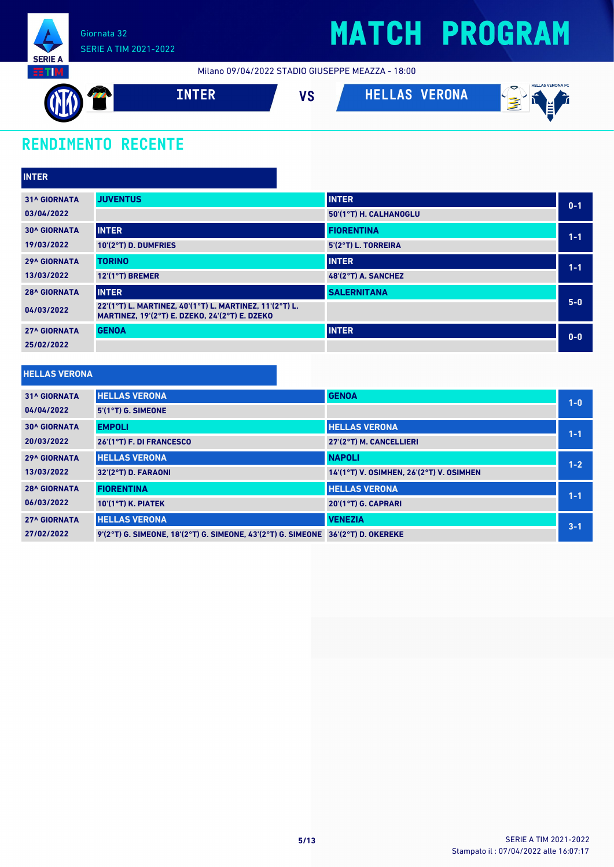

Milano 09/04/2022 STADIO GIUSEPPE MEAZZA - 18:00



### **RENDIMENTO RECENTE**

| <b>INTER</b>        |                                                                                                           |                        |         |
|---------------------|-----------------------------------------------------------------------------------------------------------|------------------------|---------|
| <b>31^ GIORNATA</b> | <b>JUVENTUS</b>                                                                                           | <b>INTER</b>           | $0 - 1$ |
| 03/04/2022          |                                                                                                           | 50'(1°T) H. CALHANOGLU |         |
| <b>30^ GIORNATA</b> | <b>INTER</b>                                                                                              | <b>FIORENTINA</b>      | $1 - 1$ |
| 19/03/2022          | 10'(2°T) D. DUMFRIES                                                                                      | 5'(2°T) L. TORREIRA    |         |
| <b>29^ GIORNATA</b> | <b>TORINO</b>                                                                                             | <b>INTER</b>           | $1 - 1$ |
| 13/03/2022          | 12'(1°T) BREMER                                                                                           | 48'(2°T) A. SANCHEZ    |         |
| <b>28^ GIORNATA</b> | <b>INTER</b>                                                                                              | <b>SALERNITANA</b>     |         |
| 04/03/2022          | 22'(1°T) L. MARTINEZ, 40'(1°T) L. MARTINEZ, 11'(2°T) L.<br>MARTINEZ, 19'(2°T) E. DZEKO, 24'(2°T) E. DZEKO |                        | $5 - 0$ |
| <b>27^ GIORNATA</b> | <b>GENOA</b>                                                                                              | <b>INTER</b>           | $0-0$   |
| 25/02/2022          |                                                                                                           |                        |         |

#### **HELLAS VERONA**

| <b>31^ GIORNATA</b> | <b>HELLAS VERONA</b>                                                             | <b>GENOA</b>                             | $1 - 0$ |
|---------------------|----------------------------------------------------------------------------------|------------------------------------------|---------|
| 04/04/2022          | 5'(1°T) G. SIMEONE                                                               |                                          |         |
| <b>30^ GIORNATA</b> | <b>EMPOLI</b>                                                                    | <b>HELLAS VERONA</b>                     | $1 - 1$ |
| 20/03/2022          | 26'(1°T) F. DI FRANCESCO                                                         | 27'(2°T) M. CANCELLIERI                  |         |
| <b>29^ GIORNATA</b> | <b>HELLAS VERONA</b>                                                             | <b>NAPOLI</b>                            | $1 - 2$ |
| 13/03/2022          | 32'(2°T) D. FARAONI                                                              | 14'(1°T) V. OSIMHEN, 26'(2°T) V. OSIMHEN |         |
| <b>28^ GIORNATA</b> | <b>FIORENTINA</b>                                                                | <b>HELLAS VERONA</b>                     | $1 - 1$ |
| 06/03/2022          | $10'(1°T)$ K. PIATEK                                                             | 20'(1°T) G. CAPRARI                      |         |
| <b>27^ GIORNATA</b> | <b>HELLAS VERONA</b>                                                             | <b>VENEZIA</b>                           | $3 - 1$ |
| 27/02/2022          | 9'(2°T) G. SIMEONE. 18'(2°T) G. SIMEONE. 43'(2°T) G. SIMEONE 36'(2°T) D. OKEREKE |                                          |         |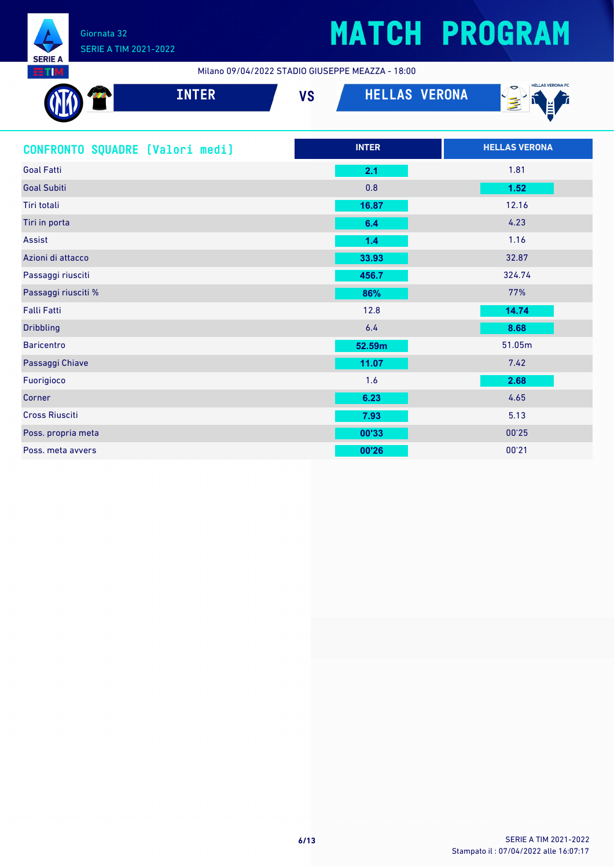

### SERIE A TIM 2021-2022

# **MATCH PROGRAM**

Milano 09/04/2022 STADIO GIUSEPPE MEAZZA - 18:00

| <b>INTER</b>                    | <b>VS</b> | <b>HELLAS VERONA</b> | <b>HELLAS VERONA FC</b><br>医 |
|---------------------------------|-----------|----------------------|------------------------------|
| CONFRONTO SQUADRE (Valori medi) |           | <b>INTER</b>         | <b>HELLAS VERONA</b>         |
| <b>Goal Fatti</b>               |           | 2.1                  | 1.81                         |
| <b>Goal Subiti</b>              |           | 0.8                  | 1.52                         |
| Tiri totali                     |           | 16.87                | 12.16                        |
| Tiri in porta                   |           | 6.4                  | 4.23                         |
| <b>Assist</b>                   |           | 1.4                  | 1.16                         |
| Azioni di attacco               |           | 33.93                | 32.87                        |
| Passaggi riusciti               |           | 456.7                | 324.74                       |
| Passaggi riusciti %             |           | 86%                  | 77%                          |
| <b>Falli Fatti</b>              |           | 12.8                 | 14.74                        |
| <b>Dribbling</b>                |           | 6.4                  | 8.68                         |
| <b>Baricentro</b>               |           | 52.59m               | 51.05m                       |
| Passaggi Chiave                 |           | 11.07                | 7.42                         |
| Fuorigioco                      |           | 1.6                  | 2.68                         |
| Corner                          |           | 6.23                 | 4.65                         |
| <b>Cross Riusciti</b>           |           | 7.93                 | 5.13                         |
| Poss. propria meta              |           | 00'33                | 00'25                        |
| Poss. meta avvers               |           | 00'26                | 00'21                        |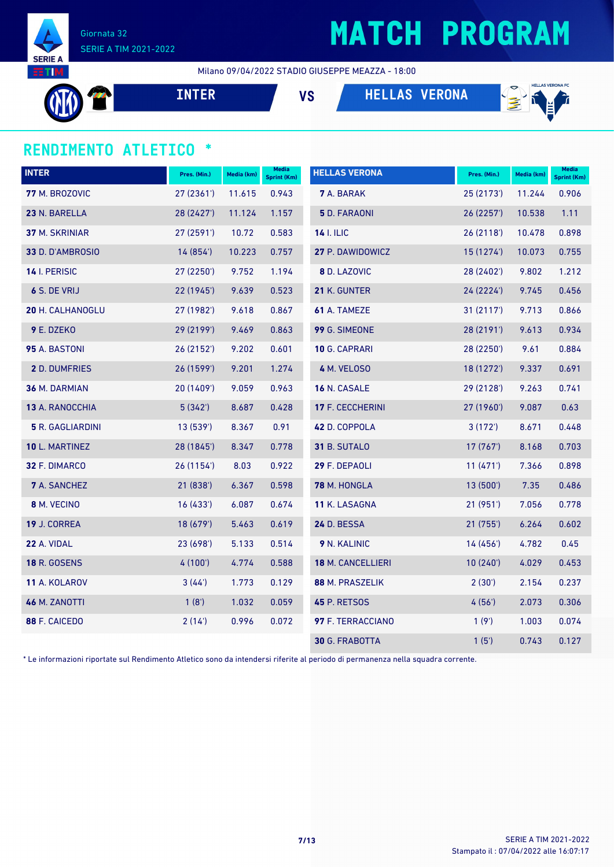

# **MATCH PROGRAM**

Milano 09/04/2022 STADIO GIUSEPPE MEAZZA - 18:00

**INTER VS HELLAS VERONA**



### **RENDIMENTO ATLETICO \***

| <b>INTER</b>            | Pres. (Min.) | Media (km) | <b>Media</b><br><b>Sprint (Km)</b> | <b>HELLAS VERONA</b>  | Pres. (Min.) | Media (km) | <b>Media</b><br>Sprint (Km) |
|-------------------------|--------------|------------|------------------------------------|-----------------------|--------------|------------|-----------------------------|
| 77 M. BROZOVIC          | 27 (2361')   | 11.615     | 0.943                              | <b>7</b> A. BARAK     | 25 (2173')   | 11.244     | 0.906                       |
| 23 N. BARELLA           | 28 (2427')   | 11.124     | 1.157                              | 5 D. FARAONI          | 26 (2257')   | 10.538     | 1.11                        |
| 37 M. SKRINIAR          | 27 (2591')   | 10.72      | 0.583                              | <b>14 I. ILIC</b>     | 26(2118)     | 10.478     | 0.898                       |
| 33 D. D'AMBROSIO        | 14(854)      | 10.223     | 0.757                              | 27 P. DAWIDOWICZ      | 15 (1274')   | 10.073     | 0.755                       |
| 14 I. PERISIC           | 27 (2250')   | 9.752      | 1.194                              | 8 D. LAZOVIC          | 28 (2402')   | 9.802      | 1.212                       |
| 6 S. DE VRIJ            | 22 (1945')   | 9.639      | 0.523                              | 21 K. GUNTER          | 24(2224)     | 9.745      | 0.456                       |
| <b>20 H. CALHANOGLU</b> | 27 (1982')   | 9.618      | 0.867                              | 61 A. TAMEZE          | 31(2117)     | 9.713      | 0.866                       |
| 9 E. DZEKO              | 29 (2199')   | 9.469      | 0.863                              | 99 G. SIMEONE         | 28 (2191')   | 9.613      | 0.934                       |
| 95 A. BASTONI           | 26 (2152')   | 9.202      | 0.601                              | 10 G. CAPRARI         | 28 (2250')   | 9.61       | 0.884                       |
| 2 D. DUMFRIES           | 26 (1599')   | 9.201      | 1.274                              | 4 M. VELOSO           | 18 (1272')   | 9.337      | 0.691                       |
| <b>36 M. DARMIAN</b>    | 20 (1409')   | 9.059      | 0.963                              | 16 N. CASALE          | 29 (2128')   | 9.263      | 0.741                       |
| 13 A. RANOCCHIA         | 5(342)       | 8.687      | 0.428                              | 17 F. CECCHERINI      | 27 (1960')   | 9.087      | 0.63                        |
| <b>5</b> R. GAGLIARDINI | 13(539)      | 8.367      | 0.91                               | 42 D. COPPOLA         | 3(172)       | 8.671      | 0.448                       |
| 10 L. MARTINEZ          | 28 (1845')   | 8.347      | 0.778                              | 31 B. SUTALO          | 17(767)      | 8.168      | 0.703                       |
| 32 F. DIMARCO           | 26 (1154')   | 8.03       | 0.922                              | 29 F. DEPAOLI         | 11(471)      | 7.366      | 0.898                       |
| <b>7</b> A. SANCHEZ     | 21 (838')    | 6.367      | 0.598                              | 78 M. HONGLA          | 13 (500')    | 7.35       | 0.486                       |
| 8 M. VECINO             | 16(433)      | 6.087      | 0.674                              | 11 K. LASAGNA         | 21 (951')    | 7.056      | 0.778                       |
| 19 J. CORREA            | 18 (679')    | 5.463      | 0.619                              | 24 D. BESSA           | 21 (755')    | 6.264      | 0.602                       |
| 22 A. VIDAL             | 23 (698')    | 5.133      | 0.514                              | 9 N. KALINIC          | 14(456)      | 4.782      | 0.45                        |
| <b>18 R. GOSENS</b>     | 4 (100')     | 4.774      | 0.588                              | 18 M. CANCELLIERI     | 10(240)      | 4.029      | 0.453                       |
| 11 A. KOLAROV           | 3(44)        | 1.773      | 0.129                              | 88 M. PRASZELIK       | 2(30')       | 2.154      | 0.237                       |
| 46 M. ZANOTTI           | 1(8')        | 1.032      | 0.059                              | 45 P. RETSOS          | 4(56)        | 2.073      | 0.306                       |
| 88 F. CAICEDO           | 2(14)        | 0.996      | 0.072                              | 97 F. TERRACCIANO     | 1(9')        | 1.003      | 0.074                       |
|                         |              |            |                                    | <b>30 G. FRABOTTA</b> | 1(5')        | 0.743      | 0.127                       |

\* Le informazioni riportate sul Rendimento Atletico sono da intendersi riferite al periodo di permanenza nella squadra corrente.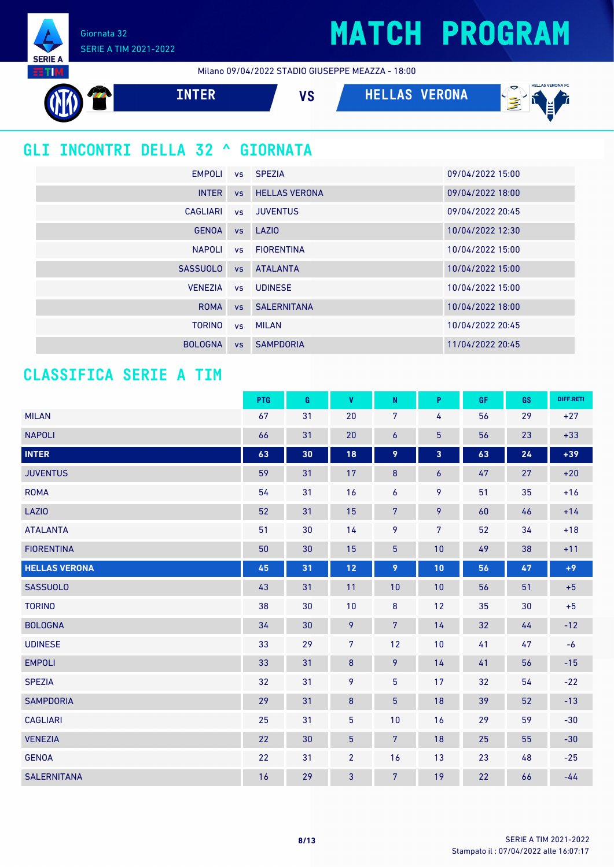Giornata 32 SERIE A TIM 2021-2022

**SERIE** 

Milano 09/04/2022 STADIO GIUSEPPE MEAZZA - 18:00

| -------                                 |                 |           |                      |                      |                              |  |  |
|-----------------------------------------|-----------------|-----------|----------------------|----------------------|------------------------------|--|--|
|                                         | <b>INTER</b>    |           | <b>VS</b>            | <b>HELLAS VERONA</b> | <b>HELLAS VERONA FC</b><br>亳 |  |  |
| <b>GLI INCONTRI DELLA 32 ^ GIORNATA</b> |                 |           |                      |                      |                              |  |  |
|                                         | <b>EMPOLI</b>   |           | vs SPEZIA            |                      | 09/04/2022 15:00             |  |  |
|                                         | <b>INTER</b>    | <b>VS</b> | <b>HELLAS VERONA</b> |                      | 09/04/2022 18:00             |  |  |
|                                         | <b>CAGLIARI</b> | <b>VS</b> | <b>JUVENTUS</b>      |                      | 09/04/2022 20:45             |  |  |
|                                         | <b>GENOA</b>    | <b>VS</b> | LAZIO                |                      | 10/04/2022 12:30             |  |  |
|                                         | <b>NAPOLI</b>   | <b>VS</b> | <b>FIORENTINA</b>    |                      | 10/04/2022 15:00             |  |  |
|                                         | <b>SASSUOLO</b> | <b>VS</b> | <b>ATALANTA</b>      |                      | 10/04/2022 15:00             |  |  |
|                                         | <b>VENEZIA</b>  | <b>VS</b> | <b>UDINESE</b>       |                      | 10/04/2022 15:00             |  |  |
|                                         | <b>ROMA</b>     | <b>VS</b> | <b>SALERNITANA</b>   |                      | 10/04/2022 18:00             |  |  |
|                                         | <b>TORINO</b>   | <b>VS</b> | <b>MILAN</b>         |                      | 10/04/2022 20:45             |  |  |
|                                         | <b>BOLOGNA</b>  | <b>VS</b> | <b>SAMPDORIA</b>     |                      | 11/04/2022 20:45             |  |  |

### **CLASSIFICA SERIE A TIM**

|                      | PTG | G  | V              | ${\sf N}$      | P                | <b>GF</b> | GS | DIFF.RETI |
|----------------------|-----|----|----------------|----------------|------------------|-----------|----|-----------|
| <b>MILAN</b>         | 67  | 31 | 20             | 7              | 4                | 56        | 29 | $+27$     |
| <b>NAPOLI</b>        | 66  | 31 | 20             | 6              | $\overline{5}$   | 56        | 23 | $+33$     |
| <b>INTER</b>         | 63  | 30 | 18             | 9              | 3                | 63        | 24 | $+39$     |
| <b>JUVENTUS</b>      | 59  | 31 | 17             | $\bf 8$        | $\boldsymbol{6}$ | 47        | 27 | $+20$     |
| <b>ROMA</b>          | 54  | 31 | 16             | 6              | 9                | 51        | 35 | $+16$     |
| <b>LAZIO</b>         | 52  | 31 | 15             | $\overline{7}$ | 9                | 60        | 46 | $+14$     |
| <b>ATALANTA</b>      | 51  | 30 | 14             | 9              | $\overline{7}$   | 52        | 34 | $+18$     |
| <b>FIORENTINA</b>    | 50  | 30 | 15             | $\overline{5}$ | 10               | 49        | 38 | $+11$     |
| <b>HELLAS VERONA</b> | 45  | 31 | 12             | 9              | 10               | 56        | 47 | $+9$      |
| <b>SASSUOLO</b>      | 43  | 31 | 11             | 10             | 10               | 56        | 51 | $+5$      |
| <b>TORINO</b>        | 38  | 30 | 10             | $\bf 8$        | 12               | 35        | 30 | $+5$      |
| <b>BOLOGNA</b>       | 34  | 30 | 9              | $7\phantom{.}$ | 14               | 32        | 44 | $-12$     |
| <b>UDINESE</b>       | 33  | 29 | $\overline{7}$ | 12             | 10               | 41        | 47 | $-6$      |
| <b>EMPOLI</b>        | 33  | 31 | $\bf 8$        | 9              | 14               | 41        | 56 | $-15$     |
| <b>SPEZIA</b>        | 32  | 31 | 9              | 5              | 17               | 32        | 54 | $-22$     |
| <b>SAMPDORIA</b>     | 29  | 31 | $\bf 8$        | $\overline{5}$ | 18               | 39        | 52 | $-13$     |
| <b>CAGLIARI</b>      | 25  | 31 | $\overline{5}$ | 10             | 16               | 29        | 59 | $-30$     |
| <b>VENEZIA</b>       | 22  | 30 | 5              | $7\phantom{.}$ | 18               | 25        | 55 | $-30$     |
| <b>GENOA</b>         | 22  | 31 | $\overline{2}$ | 16             | 13               | 23        | 48 | $-25$     |
| <b>SALERNITANA</b>   | 16  | 29 | $\mathbf{3}$   | $\overline{7}$ | 19               | 22        | 66 | $-44$     |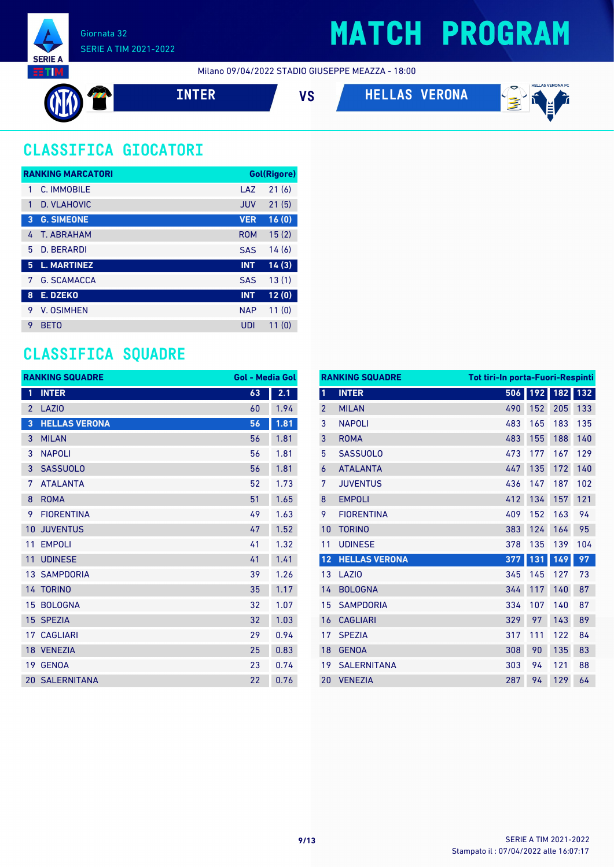

Milano 09/04/2022 STADIO GIUSEPPE MEAZZA - 18:00



**INTER VS HELLAS VERONA**



### **CLASSIFICA GIOCATORI**

|   | <b>RANKING MARCATORI</b> |            | Gol(Rigore) |
|---|--------------------------|------------|-------------|
| 1 | C. IMMOBILE              | LAZ        | 21(6)       |
| 1 | <b>D. VLAHOVIC</b>       | <b>JUV</b> | 21(5)       |
| 3 | <b>G. SIMEONE</b>        | <b>VER</b> | 16(0)       |
| 4 | <b>T. ABRAHAM</b>        | <b>ROM</b> | 15(2)       |
| 5 | <b>D. BERARDI</b>        | <b>SAS</b> | 14(6)       |
| 5 | <b>L. MARTINEZ</b>       | <b>INT</b> | 14(3)       |
| 7 | <b>G. SCAMACCA</b>       | <b>SAS</b> | 13(1)       |
| 8 | E. DZEKO                 | <b>INT</b> | 12(0)       |
| 9 | <b>V. OSIMHEN</b>        | <b>NAP</b> | 11(0)       |
| 9 | <b>BETO</b>              | UDI        | 11(0)       |

### **CLASSIFICA SQUADRE**

| <b>RANKING SQUADRE</b> |                       | <b>Gol - Media Gol</b> |      |
|------------------------|-----------------------|------------------------|------|
| 1                      | <b>INTER</b>          | 63                     | 2.1  |
| $\overline{2}$         | <b>LAZIO</b>          | 60                     | 1.94 |
| 3                      | <b>HELLAS VERONA</b>  | 56                     | 1.81 |
| 3                      | <b>MILAN</b>          | 56                     | 1.81 |
| 3                      | <b>NAPOLI</b>         | 56                     | 1.81 |
| 3                      | <b>SASSUOLO</b>       | 56                     | 1.81 |
| 7                      | <b>ATALANTA</b>       | 52                     | 1.73 |
| 8                      | <b>ROMA</b>           | 51                     | 1.65 |
| 9                      | <b>FIORENTINA</b>     | 49                     | 1.63 |
| 10                     | <b>JUVENTUS</b>       | 47                     | 1.52 |
| 11                     | <b>EMPOLI</b>         | 41                     | 1.32 |
| 11                     | <b>UDINESE</b>        | 41                     | 1.41 |
|                        | <b>13 SAMPDORIA</b>   | 39                     | 1.26 |
|                        | 14 TORINO             | 35                     | 1.17 |
|                        | 15 BOLOGNA            | 32                     | 1.07 |
| 15                     | <b>SPEZIA</b>         | 32                     | 1.03 |
|                        | <b>17 CAGLIARI</b>    | 29                     | 0.94 |
|                        | 18 VENEZIA            | 25                     | 0.83 |
| 19                     | <b>GENOA</b>          | 23                     | 0.74 |
|                        | <b>20 SALERNITANA</b> | 22                     | 0.76 |

|                | <b>RANKING SQUADRE</b> | <b>Tot tiri-In porta-Fuori-Respinti</b> |     |     |     |
|----------------|------------------------|-----------------------------------------|-----|-----|-----|
| $\mathbf{1}$   | <b>INTER</b>           | 506                                     | 192 | 182 | 132 |
| $\overline{2}$ | <b>MILAN</b>           | 490                                     | 152 | 205 | 133 |
| 3              | <b>NAPOLI</b>          | 483                                     | 165 | 183 | 135 |
| 3              | <b>ROMA</b>            | 483                                     | 155 | 188 | 140 |
| 5              | <b>SASSUOLO</b>        | 473                                     | 177 | 167 | 129 |
| 6              | <b>ATALANTA</b>        | 447                                     | 135 | 172 | 140 |
| 7              | <b>JUVENTUS</b>        | 436                                     | 147 | 187 | 102 |
| 8              | <b>EMPOLI</b>          | 412                                     | 134 | 157 | 121 |
| 9              | <b>FIORENTINA</b>      | 409                                     | 152 | 163 | 94  |
| 10             | <b>TORINO</b>          | 383                                     | 124 | 164 | 95  |
| 11             | <b>UDINESE</b>         | 378                                     | 135 | 139 | 104 |
| 12             | <b>HELLAS VERONA</b>   | 377                                     | 131 | 149 | 97  |
| 13             | LAZI <sub>0</sub>      | 345                                     | 145 | 127 | 73  |
| 14             | <b>BOLOGNA</b>         | 344                                     | 117 | 140 | 87  |
| 15             | <b>SAMPDORIA</b>       | 334                                     | 107 | 140 | 87  |
| 16             | <b>CAGLIARI</b>        | 329                                     | 97  | 143 | 89  |
| 17             | <b>SPEZIA</b>          | 317                                     | 111 | 122 | 84  |
| 18             | <b>GENOA</b>           | 308                                     | 90  | 135 | 83  |
| 19             | <b>SALERNITANA</b>     | 303                                     | 94  | 121 | 88  |
| 20             | <b>VENEZIA</b>         | 287                                     | 94  | 129 | 64  |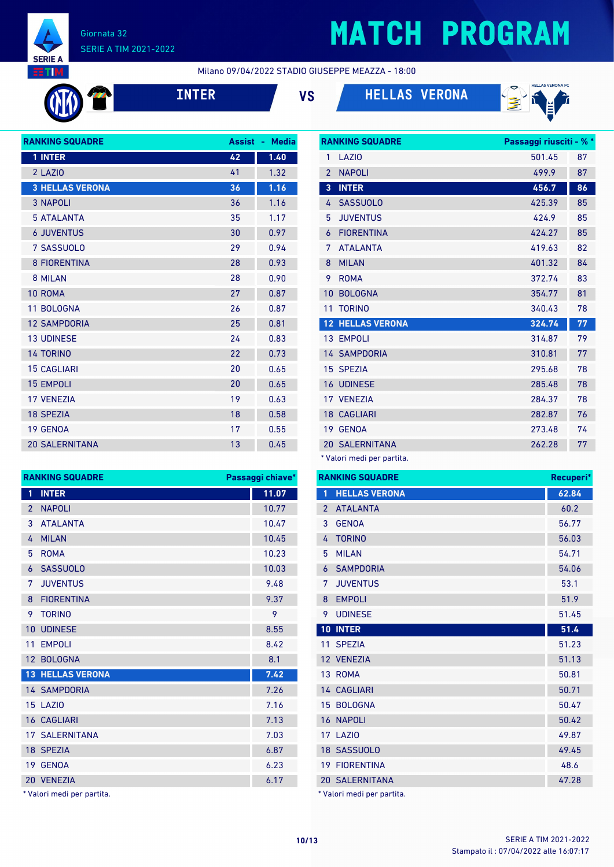

# **MATCH PROGRAM**

**RANKING SQUADRE Passaggi riusciti - % \***

Milano 09/04/2022 STADIO GIUSEPPE MEAZZA - 18:00









| <b>RANKING SQUADRE</b> | <b>Assist</b> | <b>Media</b><br>٠ |
|------------------------|---------------|-------------------|
| 1 INTER                | 42            | 1.40              |
| 2 LAZIO                | 41            | 1.32              |
| <b>3 HELLAS VERONA</b> | 36            | 1.16              |
| <b>3 NAPOLI</b>        | 36            | 1.16              |
| <b>5 ATALANTA</b>      | 35            | 1.17              |
| <b>6 JUVENTUS</b>      | 30            | 0.97              |
| 7 SASSUOLO             | 29            | 0.94              |
| <b>8 FIORENTINA</b>    | 28            | 0.93              |
| 8 MILAN                | 28            | 0.90              |
| 10 ROMA                | 27            | 0.87              |
| 11 BOLOGNA             | 26            | 0.87              |
| <b>12 SAMPDORIA</b>    | 25            | 0.81              |
| <b>13 UDINESE</b>      | 24            | 0.83              |
| <b>14 TORINO</b>       | 22            | 0.73              |
| <b>15 CAGLIARI</b>     | 20            | 0.65              |
| <b>15 EMPOLI</b>       | 20            | 0.65              |
| <b>17 VENEZIA</b>      | 19            | 0.63              |
| <b>18 SPEZIA</b>       | 18            | 0.58              |
| <b>19 GENOA</b>        | 17            | 0.55              |
| <b>20 SALERNITANA</b>  | 13            | 0.45              |

| $\overline{2}$<br><b>NAPOLI</b><br>499.9<br>87<br><b>INTER</b><br>456.7<br>86<br>$\overline{3}$<br><b>SASSUOLO</b><br>425.39<br>85<br>4<br><b>JUVENTUS</b><br>85<br>5<br>424.9<br><b>FIORENTINA</b><br>85<br>424.27<br>6<br><b>ATALANTA</b><br>82<br>7<br>419.63<br><b>MILAN</b><br>8<br>401.32<br>84<br><b>ROMA</b><br>9<br>372.74<br>83<br>10<br><b>BOLOGNA</b><br>354.77<br>81<br><b>TORINO</b><br>78<br>11<br>340.43<br><b>12 HELLAS VERONA</b><br>77<br>324.74<br>13 EMPOLI<br>314.87<br>79<br><b>14 SAMPDORIA</b><br>310.81<br>77<br><b>SPEZIA</b><br>78<br>15<br>295.68<br><b>16 UDINESE</b><br>285.48<br>78<br>17 VENEZIA<br>78<br>284.37<br>CAGLIARI<br>18<br>282.87<br>76<br><b>GENOA</b><br>273.48<br>74<br>19<br><b>SALERNITANA</b><br>262.28<br>77<br>20 | 1 | LAZI <sub>0</sub> | 501.45 | 87 |
|-----------------------------------------------------------------------------------------------------------------------------------------------------------------------------------------------------------------------------------------------------------------------------------------------------------------------------------------------------------------------------------------------------------------------------------------------------------------------------------------------------------------------------------------------------------------------------------------------------------------------------------------------------------------------------------------------------------------------------------------------------------------------|---|-------------------|--------|----|
|                                                                                                                                                                                                                                                                                                                                                                                                                                                                                                                                                                                                                                                                                                                                                                       |   |                   |        |    |
|                                                                                                                                                                                                                                                                                                                                                                                                                                                                                                                                                                                                                                                                                                                                                                       |   |                   |        |    |
|                                                                                                                                                                                                                                                                                                                                                                                                                                                                                                                                                                                                                                                                                                                                                                       |   |                   |        |    |
|                                                                                                                                                                                                                                                                                                                                                                                                                                                                                                                                                                                                                                                                                                                                                                       |   |                   |        |    |
|                                                                                                                                                                                                                                                                                                                                                                                                                                                                                                                                                                                                                                                                                                                                                                       |   |                   |        |    |
|                                                                                                                                                                                                                                                                                                                                                                                                                                                                                                                                                                                                                                                                                                                                                                       |   |                   |        |    |
|                                                                                                                                                                                                                                                                                                                                                                                                                                                                                                                                                                                                                                                                                                                                                                       |   |                   |        |    |
|                                                                                                                                                                                                                                                                                                                                                                                                                                                                                                                                                                                                                                                                                                                                                                       |   |                   |        |    |
|                                                                                                                                                                                                                                                                                                                                                                                                                                                                                                                                                                                                                                                                                                                                                                       |   |                   |        |    |
|                                                                                                                                                                                                                                                                                                                                                                                                                                                                                                                                                                                                                                                                                                                                                                       |   |                   |        |    |
|                                                                                                                                                                                                                                                                                                                                                                                                                                                                                                                                                                                                                                                                                                                                                                       |   |                   |        |    |
|                                                                                                                                                                                                                                                                                                                                                                                                                                                                                                                                                                                                                                                                                                                                                                       |   |                   |        |    |
|                                                                                                                                                                                                                                                                                                                                                                                                                                                                                                                                                                                                                                                                                                                                                                       |   |                   |        |    |
|                                                                                                                                                                                                                                                                                                                                                                                                                                                                                                                                                                                                                                                                                                                                                                       |   |                   |        |    |
|                                                                                                                                                                                                                                                                                                                                                                                                                                                                                                                                                                                                                                                                                                                                                                       |   |                   |        |    |
|                                                                                                                                                                                                                                                                                                                                                                                                                                                                                                                                                                                                                                                                                                                                                                       |   |                   |        |    |
|                                                                                                                                                                                                                                                                                                                                                                                                                                                                                                                                                                                                                                                                                                                                                                       |   |                   |        |    |
|                                                                                                                                                                                                                                                                                                                                                                                                                                                                                                                                                                                                                                                                                                                                                                       |   |                   |        |    |
|                                                                                                                                                                                                                                                                                                                                                                                                                                                                                                                                                                                                                                                                                                                                                                       |   |                   |        |    |

\* Valori medi per partita.

|    | <b>RANKING SQUADRE</b>  | Passaggi chiave* |               | <b>RANKING SQUADE</b> |
|----|-------------------------|------------------|---------------|-----------------------|
| 1  | <b>INTER</b>            | 11.07            | 1             | <b>HELLAS VERO</b>    |
| 2  | <b>NAPOLI</b>           | 10.77            | $\mathcal{P}$ | <b>ATALANTA</b>       |
| 3  | <b>ATALANTA</b>         | 10.47            | 3             | <b>GENOA</b>          |
| 4  | <b>MILAN</b>            | 10.45            | 4             | <b>TORINO</b>         |
| 5  | <b>ROMA</b>             | 10.23            | 5             | <b>MILAN</b>          |
| 6  | <b>SASSUOLO</b>         | 10.03            | 6             | <b>SAMPDORIA</b>      |
| 7  | <b>JUVENTUS</b>         | 9.48             | 7             | <b>JUVENTUS</b>       |
| 8  | <b>FIORENTINA</b>       | 9.37             | 8             | <b>EMPOLI</b>         |
| 9  | <b>TORINO</b>           | 9                | 9             | <b>UDINESE</b>        |
| 10 | <b>UDINESE</b>          | 8.55             |               | 10 INTER              |
| 11 | <b>EMPOLI</b>           | 8.42             |               | 11 SPEZIA             |
|    | 12 BOLOGNA              | 8.1              |               | 12 VENEZIA            |
|    | <b>13 HELLAS VERONA</b> | 7.42             |               | 13 ROMA               |
|    | <b>14 SAMPDORIA</b>     | 7.26             |               | 14 CAGLIARI           |
|    | <b>15 LAZIO</b>         | 7.16             |               | 15 BOLOGNA            |
|    | <b>16 CAGLIARI</b>      | 7.13             |               | <b>16 NAPOLI</b>      |
|    | <b>17 SALERNITANA</b>   | 7.03             |               | 17 LAZIO              |
|    | 18 SPEZIA               | 6.87             |               | 18 SASSUOLO           |
|    | 19 GENOA                | 6.23             |               | <b>19 FIORENTINA</b>  |
|    | 20 VENEZIA              | 6.17             |               | 20 SALERNITANA        |
|    |                         |                  |               |                       |

\* Valori medi per partita.

**RANKING** 

|               | <b>RANKING SQUADRE</b> | Recuperi* |
|---------------|------------------------|-----------|
| 1             | <b>HELLAS VERONA</b>   | 62.84     |
| $\mathcal{P}$ | <b>ATALANTA</b>        | 60.2      |
| 3             | <b>GENOA</b>           | 56.77     |
| 4             | <b>TORINO</b>          | 56.03     |
| 5             | <b>MILAN</b>           | 54.71     |
| 6             | <b>SAMPDORIA</b>       | 54.06     |
| 7             | <b>JUVENTUS</b>        | 53.1      |
| 8             | <b>EMPOLI</b>          | 51.9      |
| 9             | <b>UDINESE</b>         | 51.45     |
| 10            | <b>INTER</b>           | 51.4      |
| 11            | <b>SPEZIA</b>          | 51.23     |
|               | 12 VENEZIA             | 51.13     |
| 13            | <b>ROMA</b>            | 50.81     |
|               | 14 CAGLIARI            | 50.71     |
| 15            | <b>BOLOGNA</b>         | 50.47     |
| 16            | <b>NAPOLI</b>          | 50.42     |
|               | <b>17 LAZIO</b>        | 49.87     |
|               | 18 SASSUOLO            | 49.45     |
| 19            | <b>FIORENTINA</b>      | 48.6      |
|               | <b>20 SALERNITANA</b>  | 47.28     |

\* Valori medi per partita.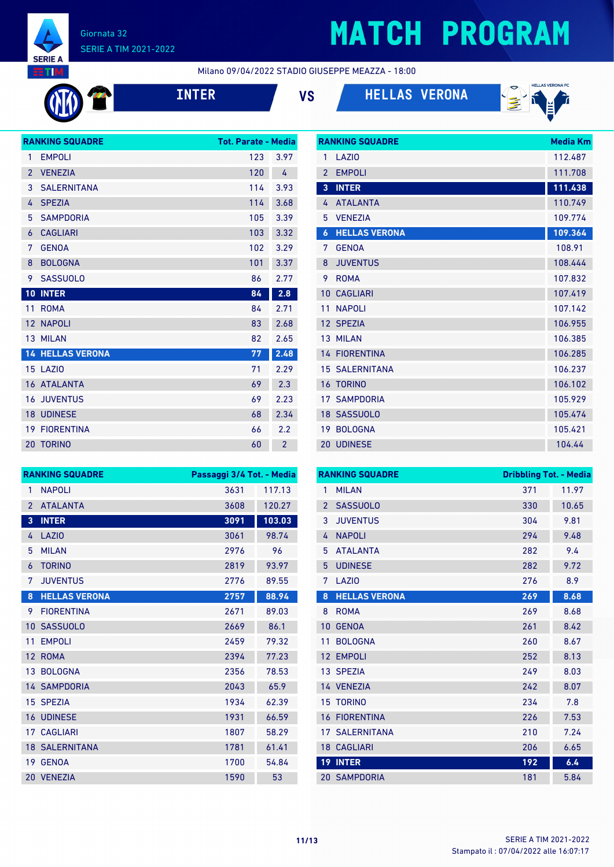

# **MATCH PROGRAM**

**RANKING SQUADRE Media Km** 

Milano 09/04/2022 STADIO GIUSEPPE MEAZZA - 18:00







|                 | <b>RANKING SQUADRE</b>  | <b>Tot. Parate - Media</b> |                |
|-----------------|-------------------------|----------------------------|----------------|
| 1               | <b>EMPOLI</b>           | 123                        | 3.97           |
| $\overline{2}$  | <b>VENEZIA</b>          | 120                        | 4              |
| 3               | <b>SALERNITANA</b>      | 114                        | 3.93           |
| 4               | <b>SPEZIA</b>           | 114                        | 3.68           |
| 5               | <b>SAMPDORIA</b>        | 105                        | 3.39           |
| 6               | <b>CAGLIARI</b>         | 103                        | 3.32           |
| 7               | <b>GENOA</b>            | 102                        | 3.29           |
| 8               | <b>BOLOGNA</b>          | 101                        | 3.37           |
| 9               | <b>SASSUOLO</b>         | 86                         | 2.77           |
| 10              | <b>INTER</b>            | 84                         | 2.8            |
| 11              | <b>ROMA</b>             | 84                         | 2.71           |
| 12 <sup>2</sup> | <b>NAPOLI</b>           | 83                         | 2.68           |
|                 | 13 MILAN                | 82                         | 2.65           |
|                 | <b>14 HELLAS VERONA</b> | 77                         | 2.48           |
|                 | <b>15 LAZIO</b>         | 71                         | 2.29           |
|                 | <b>16 ATALANTA</b>      | 69                         | 2.3            |
|                 | <b>16 JUVENTUS</b>      | 69                         | 2.23           |
|                 | <b>18 UDINESE</b>       | 68                         | 2.34           |
|                 | <b>19 FIORENTINA</b>    | 66                         | 2.2            |
|                 | 20 TORINO               | 60                         | $\overline{2}$ |

| 1                       | LAZI <sub>0</sub>     | 112.487 |
|-------------------------|-----------------------|---------|
| $\mathfrak{p}$          | <b>EMPOLI</b>         | 111.708 |
| $\overline{\mathbf{3}}$ | <b>INTER</b>          | 111.438 |
| 4                       | <b>ATALANTA</b>       | 110.749 |
| 5                       | <b>VENEZIA</b>        | 109.774 |
| $\boldsymbol{6}$        | <b>HELLAS VERONA</b>  | 109.364 |
| 7                       | <b>GFNOA</b>          | 108.91  |
| 8                       | <b>JUVENTUS</b>       | 108.444 |
| 9                       | <b>ROMA</b>           | 107.832 |
| 10                      | <b>CAGLIARI</b>       | 107.419 |
| 11                      | <b>NAPOLI</b>         | 107.142 |
|                         | 12 SPEZIA             | 106.955 |
|                         | 13 MILAN              | 106.385 |
| 14                      | <b>FIORENTINA</b>     | 106.285 |
|                         | <b>15 SALERNITANA</b> | 106.237 |
| 16                      | <b>TORINO</b>         | 106.102 |
| 17                      | <b>SAMPDORIA</b>      | 105.929 |
| 18                      | <b>SASSUOLO</b>       | 105.474 |
|                         | 19 BOLOGNA            | 105.421 |
| 20                      | <b>UDINESE</b>        | 104.44  |

|                 | <b>RANKING SQUADRE</b> | Passaggi 3/4 Tot. - Media |        |
|-----------------|------------------------|---------------------------|--------|
| 1               | <b>NAPOLI</b>          | 3631                      | 117.13 |
| $\overline{2}$  | <b>ATALANTA</b>        | 3608                      | 120.27 |
| 3               | <b>INTER</b>           | 3091                      | 103.03 |
| 4               | <b>LAZIO</b>           | 3061                      | 98.74  |
| 5               | <b>MILAN</b>           | 2976                      | 96     |
| 6               | <b>TORINO</b>          | 2819                      | 93.97  |
| 7               | <b>JUVENTUS</b>        | 2776                      | 89.55  |
| 8               | <b>HELLAS VERONA</b>   | 2757                      | 88.94  |
| 9               | <b>FIORENTINA</b>      | 2671                      | 89.03  |
| 10              | <b>SASSUOLO</b>        | 2669                      | 86.1   |
| 11              | <b>EMPOLI</b>          | 2459                      | 79.32  |
| 12 <sup>2</sup> | <b>ROMA</b>            | 2394                      | 77.23  |
|                 | 13 BOLOGNA             | 2356                      | 78.53  |
|                 | <b>14 SAMPDORIA</b>    | 2043                      | 65.9   |
|                 | 15 SPEZIA              | 1934                      | 62.39  |
|                 | <b>16 UDINESE</b>      | 1931                      | 66.59  |
|                 | <b>17 CAGLIARI</b>     | 1807                      | 58.29  |
|                 | <b>18 SALERNITANA</b>  | 1781                      | 61.41  |
| 19              | <b>GENOA</b>           | 1700                      | 54.84  |
| 20              | <b>VENEZIA</b>         | 1590                      | 53     |

|                 | <b>RANKING SQUADRE</b> | <b>Dribbling Tot. - Media</b> |       |
|-----------------|------------------------|-------------------------------|-------|
| 1               | <b>MILAN</b>           | 371                           | 11.97 |
| $\overline{2}$  | <b>SASSUOLO</b>        | 330                           | 10.65 |
| 3               | <b>JUVENTUS</b>        | 304                           | 9.81  |
| 4               | <b>NAPOLI</b>          | 294                           | 9.48  |
| 5               | <b>ATALANTA</b>        | 282                           | 9.4   |
| 5               | <b>UDINESE</b>         | 282                           | 9.72  |
| 7               | LAZI <sub>0</sub>      | 276                           | 8.9   |
| 8               | <b>HELLAS VERONA</b>   | 269                           | 8.68  |
| 8               | <b>ROMA</b>            | 269                           | 8.68  |
| 10              | <b>GENOA</b>           | 261                           | 8.42  |
| 11              | <b>BOLOGNA</b>         | 260                           | 8.67  |
| 12              | <b>EMPOLI</b>          | 252                           | 8.13  |
|                 | 13 SPEZIA              | 249                           | 8.03  |
|                 | 14 VENEZIA             | 242                           | 8.07  |
|                 | <b>15 TORINO</b>       | 234                           | 7.8   |
| 16              | <b>FIORENTINA</b>      | 226                           | 7.53  |
| 17              | SALERNITANA            | 210                           | 7.24  |
|                 | <b>18 CAGLIARI</b>     | 206                           | 6.65  |
| 19 <sup>°</sup> | <b>INTER</b>           | 192                           | 6.4   |
|                 | <b>20 SAMPDORIA</b>    | 181                           | 5.84  |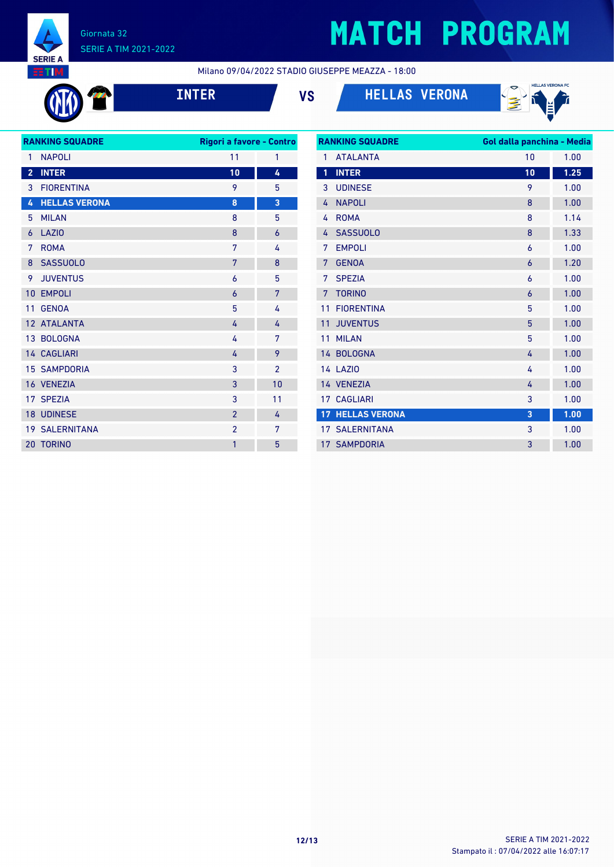

# **MATCH PROGRAM**

Milano 09/04/2022 STADIO GIUSEPPE MEAZZA - 18:00

| ľ<br>L |  |
|--------|--|
|        |  |

**INTER VS HELLAS VERONA**



| <b>RANKING SQUADRE</b> |                       | Rigori a favore - Contro |                |
|------------------------|-----------------------|--------------------------|----------------|
| 1                      | <b>NAPOLI</b>         | 11                       | 1              |
| $\overline{2}$         | <b>INTER</b>          | 10                       | 4              |
| 3                      | <b>FIORENTINA</b>     | 9                        | 5              |
| 4                      | <b>HELLAS VERONA</b>  | 8                        | 3              |
| 5                      | <b>MILAN</b>          | 8                        | 5              |
| 6                      | LAZI <sub>0</sub>     | 8                        | $\overline{6}$ |
| 7                      | <b>ROMA</b>           | 7                        | 4              |
| 8                      | <b>SASSUOLO</b>       | 7                        | 8              |
| 9                      | <b>JUVENTUS</b>       | 6                        | 5              |
| 10 <sup>°</sup>        | <b>EMPOLI</b>         | $\overline{6}$           | 7              |
| 11                     | <b>GENOA</b>          | 5                        | 4              |
|                        | 12 ATALANTA           | 4                        | 4              |
|                        | 13 BOLOGNA            | 4                        | 7              |
|                        | 14 CAGLIARI           | 4                        | 9              |
|                        | <b>15 SAMPDORIA</b>   | 3                        | $\overline{2}$ |
|                        | 16 VENEZIA            | 3                        | 10             |
|                        | 17 SPEZIA             | 3                        | 11             |
|                        | 18 UDINESE            | $\overline{2}$           | 4              |
|                        | <b>19 SALERNITANA</b> | $\overline{2}$           | 7              |
| 20                     | <b>TORINO</b>         | 1                        | 5              |
|                        |                       |                          |                |

| <b>RANKING SQUADRE</b> |                         | Gol dalla panchina - Media |      |  |  |
|------------------------|-------------------------|----------------------------|------|--|--|
| 1                      | <b>ATALANTA</b>         | 10                         | 1.00 |  |  |
| 1                      | <b>INTER</b>            | 10                         | 1.25 |  |  |
| 3                      | <b>UDINESE</b>          | 9                          | 1.00 |  |  |
| 4                      | <b>NAPOLI</b>           | 8                          | 1.00 |  |  |
| 4                      | <b>ROMA</b>             | 8                          | 1.14 |  |  |
| 4                      | <b>SASSUOLO</b>         | 8                          | 1.33 |  |  |
| 7                      | <b>EMPOLI</b>           | 6                          | 1.00 |  |  |
| 7                      | <b>GENOA</b>            | $\overline{6}$             | 1.20 |  |  |
| 7                      | <b>SPEZIA</b>           | 6                          | 1.00 |  |  |
| 7                      | <b>TORINO</b>           | $\overline{6}$             | 1.00 |  |  |
| 11                     | <b>FIORENTINA</b>       | 5                          | 1.00 |  |  |
| 11                     | <b>JUVENTUS</b>         | 5                          | 1.00 |  |  |
| 11                     | <b>MILAN</b>            | 5                          | 1.00 |  |  |
|                        | 14 BOLOGNA              | 4                          | 1.00 |  |  |
|                        | <b>14 LAZIO</b>         | 4                          | 1.00 |  |  |
|                        | 14 VENEZIA              | 4                          | 1.00 |  |  |
| 17 <sup>1</sup>        | <b>CAGLIARI</b>         | 3                          | 1.00 |  |  |
|                        | <b>17 HELLAS VERONA</b> | 3                          | 1.00 |  |  |
|                        | <b>17 SALERNITANA</b>   | 3                          | 1.00 |  |  |
|                        | <b>17 SAMPDORIA</b>     | 3                          | 1.00 |  |  |